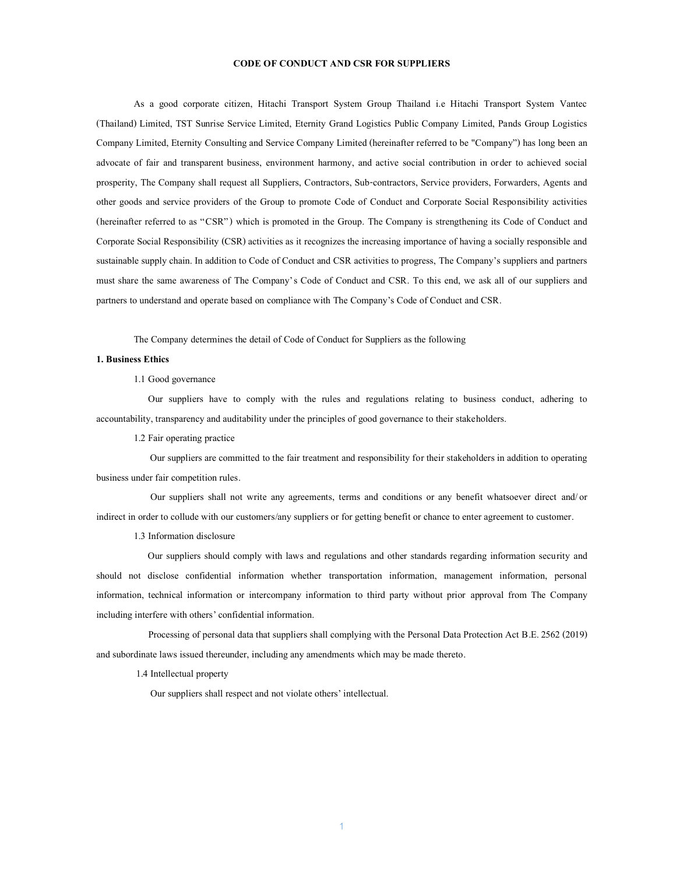### **CODE OF CONDUCT AND CSR FOR SUPPLIERS**

As a good corporate citizen, Hitachi Transport System Group Thailand i.e Hitachi Transport System Vantec (Thailand) Limited, TST Sunrise Service Limited, Eternity Grand Logistics Public Company Limited, Pands Group Logistics Company Limited, Eternity Consulting and Service Company Limited (hereinafter referred to be "Company") has long been an advocate of fair and transparent business, environment harmony, and active social contribution in order to achieved social prosperity, The Company shall request all Suppliers, Contractors, Sub-contractors, Service providers, Forwarders, Agents and other goods and service providers of the Group to promote Code of Conduct and Corporate Social Responsibility activities (hereinafter referred to as "CSR" ) which is promoted in the Group. The Company is strengthening its Code of Conduct and Corporate Social Responsibility (CSR) activities as it recognizes the increasing importance of having a socially responsible and sustainable supply chain. In addition to Code of Conduct and CSR activities to progress, The Company's suppliers and partners must share the same awareness of The Company's Code of Conduct and CSR. To this end, we ask all of our suppliers and partners to understand and operate based on compliance with The Company's Code of Conduct and CSR.

The Company determines the detail of Code of Conduct for Suppliers as the following

## **1. Business Ethics**

1.1 Good governance

 Our suppliers have to comply with the rules and regulations relating to business conduct, adhering to accountability, transparency and auditability under the principles of good governance to their stakeholders.

1.2 Fair operating practice

Our suppliers are committed to the fair treatment and responsibility for their stakeholders in addition to operating business under fair competition rules.

Our suppliers shall not write any agreements, terms and conditions or any benefit whatsoever direct and/or indirect in order to collude with our customers/any suppliers or for getting benefit or chance to enter agreement to customer.

1.3 Information disclosure

Our suppliers should comply with laws and regulations and other standards regarding information security and should not disclose confidential information whether transportation information, management information, personal information, technical information or intercompany information to third party without prior approval from The Company including interfere with others' confidential information.

 Processing of personal data that suppliers shall complying with the Personal Data Protection Act B.E. 2562 (2019) and subordinate laws issued thereunder, including any amendments which may be made thereto.

1.4 Intellectual property

Our suppliers shall respect and not violate others' intellectual.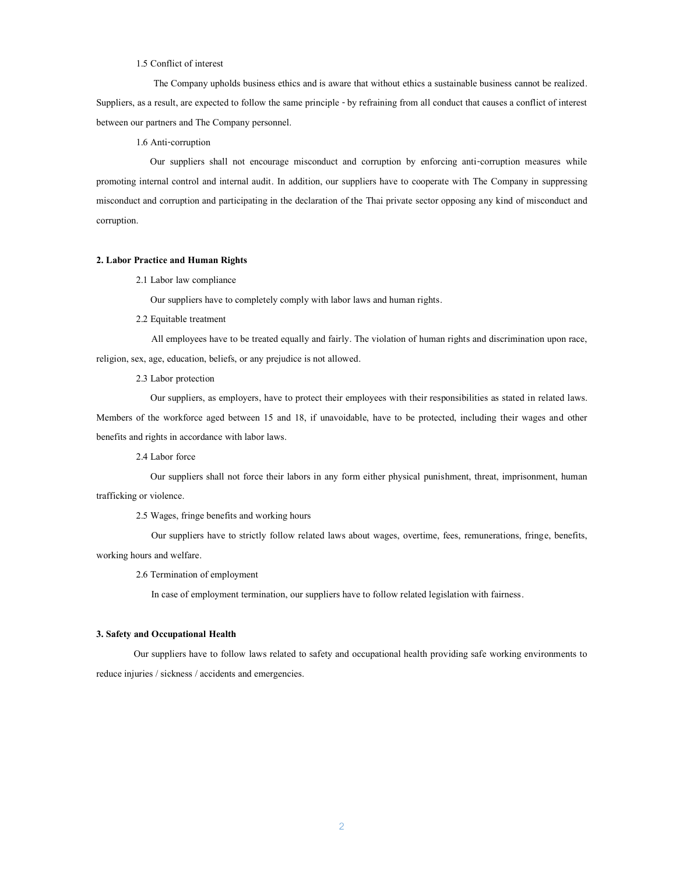### 1.5 Conflict of interest

 The Company upholds business ethics and is aware that without ethics a sustainable business cannot be realized. Suppliers, as a result, are expected to follow the same principle -by refraining from all conduct that causes a conflict of interest between our partners and The Company personnel.

1.6 Anti-corruption

Our suppliers shall not encourage misconduct and corruption by enforcing anti-corruption measures while promoting internal control and internal audit. In addition, our suppliers have to cooperate with The Company in suppressing misconduct and corruption and participating in the declaration of the Thai private sector opposing any kind of misconduct and corruption.

# **2. Labor Practice and Human Rights**

2.1 Labor law compliance

Our suppliers have to completely comply with labor laws and human rights.

2.2 Equitable treatment

 All employees have to be treated equally and fairly. The violation of human rights and discrimination upon race, religion, sex, age, education, beliefs, or any prejudice is not allowed.

2.3 Labor protection

Our suppliers, as employers, have to protect their employees with their responsibilities as stated in related laws. Members of the workforce aged between 15 and 18, if unavoidable, have to be protected, including their wages and other benefits and rights in accordance with labor laws.

2.4 Labor force

Our suppliers shall not force their labors in any form either physical punishment, threat, imprisonment, human trafficking or violence.

2.5 Wages, fringe benefits and working hours

 Our suppliers have to strictly follow related laws about wages, overtime, fees, remunerations, fringe, benefits, working hours and welfare.

## 2.6 Termination of employment

In case of employment termination, our suppliers have to follow related legislation with fairness.

### **3. Safety and Occupational Health**

Our suppliers have to follow laws related to safety and occupational health providing safe working environments to reduce injuries / sickness / accidents and emergencies.